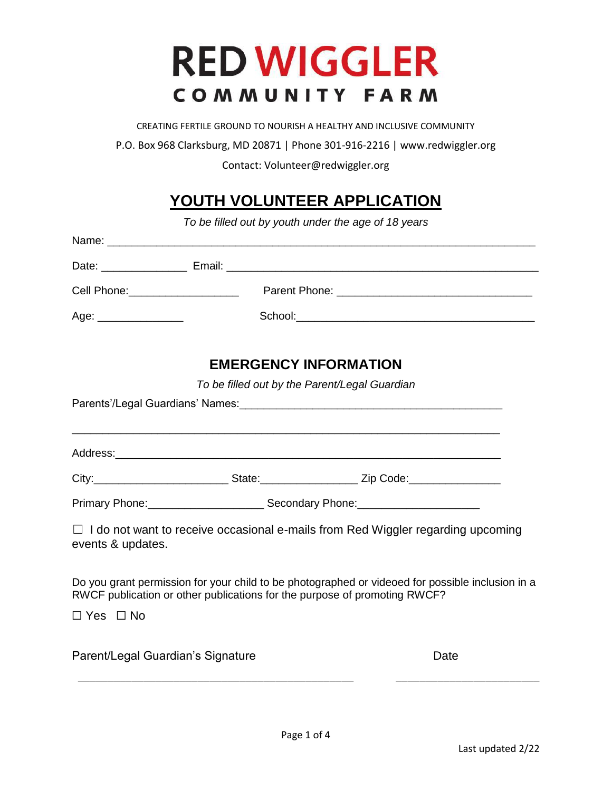# **RED WIGGLER** COMMUNITY FARM

CREATING FERTILE GROUND TO NOURISH A HEALTHY AND INCLUSIVE COMMUNITY

P.O. Box 968 Clarksburg, MD 20871 | Phone 301-916-2216 | www.redwiggler.org

Contact: Volunteer@redwiggler.org

## **YOUTH VOLUNTEER APPLICATION**

*To be filled out by youth under the age of 18 years*

| Date: _______________            |  |
|----------------------------------|--|
| Cell Phone: ____________________ |  |
| Age: ________________            |  |
|                                  |  |

## **EMERGENCY INFORMATION**

*To be filled out by the Parent/Legal Guardian*

| Parents'/Legal Guardians' Names: \\connect{\bmg \text{\bmg}}{\bmg \text{\bmg}}{\bmg \text{\bmg}}{\bmg \text{\bmg}}} |  |                                                                                                                                                                               |  |  |  |  |
|---------------------------------------------------------------------------------------------------------------------|--|-------------------------------------------------------------------------------------------------------------------------------------------------------------------------------|--|--|--|--|
|                                                                                                                     |  |                                                                                                                                                                               |  |  |  |  |
|                                                                                                                     |  | Primary Phone: 2000 Communication Communication Secondary Phone: 2000 Communication Phone:                                                                                    |  |  |  |  |
| events & updates.                                                                                                   |  | $\Box$ I do not want to receive occasional e-mails from Red Wiggler regarding upcoming                                                                                        |  |  |  |  |
|                                                                                                                     |  | Do you grant permission for your child to be photographed or videoed for possible inclusion in a<br>RWCF publication or other publications for the purpose of promoting RWCF? |  |  |  |  |
| $\Box$ Yes $\Box$ No                                                                                                |  |                                                                                                                                                                               |  |  |  |  |
| Parent/Legal Guardian's Signature                                                                                   |  | Date                                                                                                                                                                          |  |  |  |  |

\_\_\_\_\_\_\_\_\_\_\_\_\_\_\_\_\_\_\_\_\_\_\_\_\_\_\_\_\_\_\_\_\_\_\_\_\_\_\_\_\_\_\_\_\_\_ \_\_\_\_\_\_\_\_\_\_\_\_\_\_\_\_\_\_\_\_\_\_\_\_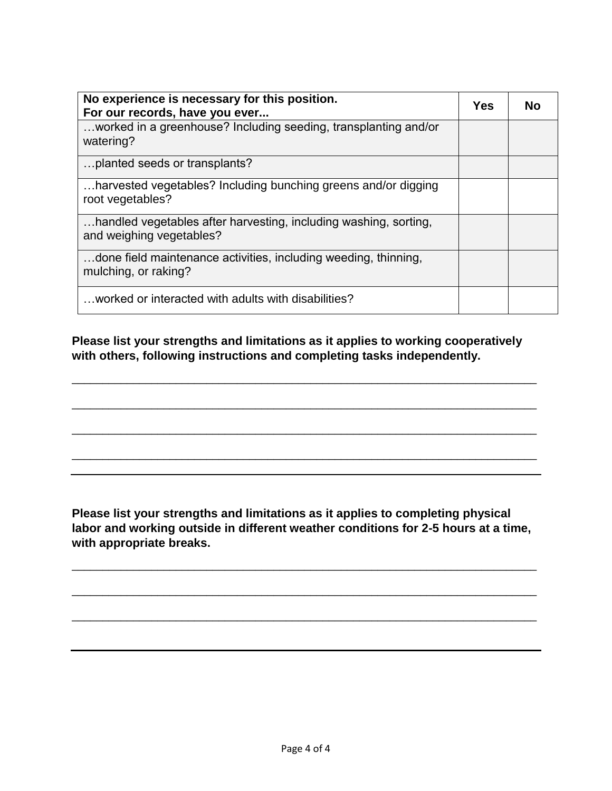| No experience is necessary for this position.<br>For our records, have you ever              |  | Nο |
|----------------------------------------------------------------------------------------------|--|----|
| worked in a greenhouse? Including seeding, transplanting and/or<br>watering?                 |  |    |
| planted seeds or transplants?                                                                |  |    |
| harvested vegetables? Including bunching greens and/or digging<br>root vegetables?           |  |    |
| handled vegetables after harvesting, including washing, sorting,<br>and weighing vegetables? |  |    |
| done field maintenance activities, including weeding, thinning,<br>mulching, or raking?      |  |    |
| worked or interacted with adults with disabilities?                                          |  |    |

**Please list your strengths and limitations as it applies to working cooperatively with others, following instructions and completing tasks independently.** 

\_\_\_\_\_\_\_\_\_\_\_\_\_\_\_\_\_\_\_\_\_\_\_\_\_\_\_\_\_\_\_\_\_\_\_\_\_\_\_\_\_\_\_\_\_\_\_\_\_\_\_\_\_\_\_\_\_\_\_\_\_\_\_\_\_\_\_\_\_\_\_\_\_\_\_\_

\_\_\_\_\_\_\_\_\_\_\_\_\_\_\_\_\_\_\_\_\_\_\_\_\_\_\_\_\_\_\_\_\_\_\_\_\_\_\_\_\_\_\_\_\_\_\_\_\_\_\_\_\_\_\_\_\_\_\_\_\_\_\_\_\_\_\_\_\_\_\_\_\_\_\_\_

\_\_\_\_\_\_\_\_\_\_\_\_\_\_\_\_\_\_\_\_\_\_\_\_\_\_\_\_\_\_\_\_\_\_\_\_\_\_\_\_\_\_\_\_\_\_\_\_\_\_\_\_\_\_\_\_\_\_\_\_\_\_\_\_\_\_\_\_\_\_\_\_\_\_\_\_

\_\_\_\_\_\_\_\_\_\_\_\_\_\_\_\_\_\_\_\_\_\_\_\_\_\_\_\_\_\_\_\_\_\_\_\_\_\_\_\_\_\_\_\_\_\_\_\_\_\_\_\_\_\_\_\_\_\_\_\_\_\_\_\_\_\_\_\_\_\_\_\_\_\_\_\_

**Please list your strengths and limitations as it applies to completing physical labor and working outside in different weather conditions for 2-5 hours at a time, with appropriate breaks.** 

\_\_\_\_\_\_\_\_\_\_\_\_\_\_\_\_\_\_\_\_\_\_\_\_\_\_\_\_\_\_\_\_\_\_\_\_\_\_\_\_\_\_\_\_\_\_\_\_\_\_\_\_\_\_\_\_\_\_\_\_\_\_\_\_\_\_\_\_\_\_\_\_\_\_\_\_

\_\_\_\_\_\_\_\_\_\_\_\_\_\_\_\_\_\_\_\_\_\_\_\_\_\_\_\_\_\_\_\_\_\_\_\_\_\_\_\_\_\_\_\_\_\_\_\_\_\_\_\_\_\_\_\_\_\_\_\_\_\_\_\_\_\_\_\_\_\_\_\_\_\_\_\_

\_\_\_\_\_\_\_\_\_\_\_\_\_\_\_\_\_\_\_\_\_\_\_\_\_\_\_\_\_\_\_\_\_\_\_\_\_\_\_\_\_\_\_\_\_\_\_\_\_\_\_\_\_\_\_\_\_\_\_\_\_\_\_\_\_\_\_\_\_\_\_\_\_\_\_\_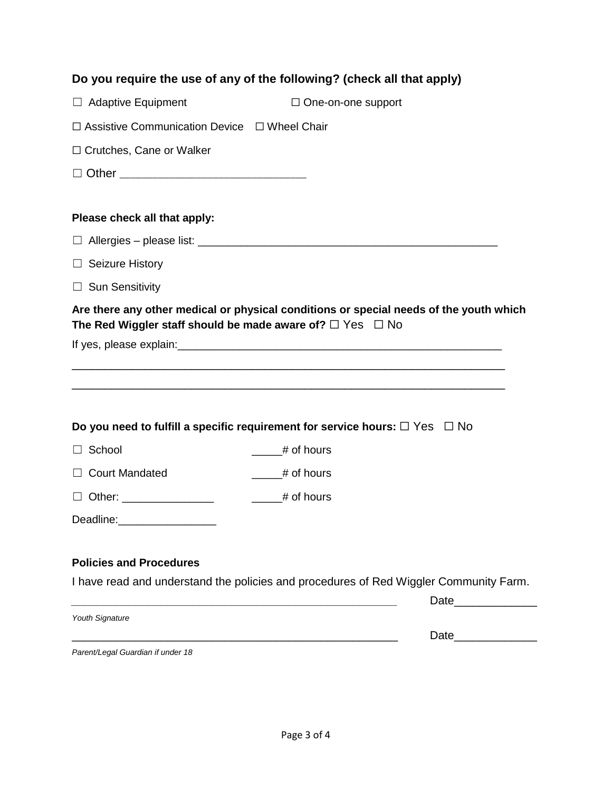|                                                                     | Do you require the use of any of the following? (check all that apply)                                          |  |  |  |  |  |
|---------------------------------------------------------------------|-----------------------------------------------------------------------------------------------------------------|--|--|--|--|--|
| $\Box$ Adaptive Equipment                                           | $\Box$ One-on-one support                                                                                       |  |  |  |  |  |
| $\Box$ Assistive Communication Device $\Box$ Wheel Chair            |                                                                                                                 |  |  |  |  |  |
| $\Box$ Crutches, Cane or Walker                                     |                                                                                                                 |  |  |  |  |  |
|                                                                     |                                                                                                                 |  |  |  |  |  |
|                                                                     |                                                                                                                 |  |  |  |  |  |
| Please check all that apply:                                        |                                                                                                                 |  |  |  |  |  |
|                                                                     |                                                                                                                 |  |  |  |  |  |
| <b>Seizure History</b><br>$\Box$                                    |                                                                                                                 |  |  |  |  |  |
| $\Box$ Sun Sensitivity                                              |                                                                                                                 |  |  |  |  |  |
|                                                                     | Are there any other medical or physical conditions or special needs of the youth which                          |  |  |  |  |  |
| The Red Wiggler staff should be made aware of? $\Box$ Yes $\Box$ No |                                                                                                                 |  |  |  |  |  |
|                                                                     |                                                                                                                 |  |  |  |  |  |
|                                                                     |                                                                                                                 |  |  |  |  |  |
|                                                                     |                                                                                                                 |  |  |  |  |  |
|                                                                     | Do you need to fulfill a specific requirement for service hours: $\square$ Yes $\square$ No                     |  |  |  |  |  |
| $\Box$ School                                                       | # of hours                                                                                                      |  |  |  |  |  |
| □ Court Mandated                                                    | $\frac{1}{2}$ # of hours                                                                                        |  |  |  |  |  |
|                                                                     |                                                                                                                 |  |  |  |  |  |
| Deadline:                                                           |                                                                                                                 |  |  |  |  |  |
|                                                                     |                                                                                                                 |  |  |  |  |  |
| <b>Policies and Procedures</b>                                      |                                                                                                                 |  |  |  |  |  |
|                                                                     | I have read and understand the policies and procedures of Red Wiggler Community Farm.                           |  |  |  |  |  |
|                                                                     | Date and the state of the state of the state of the state of the state of the state of the state of the state o |  |  |  |  |  |
| Youth Signature                                                     | Date                                                                                                            |  |  |  |  |  |
|                                                                     |                                                                                                                 |  |  |  |  |  |

*Parent/Legal Guardian if under 18*